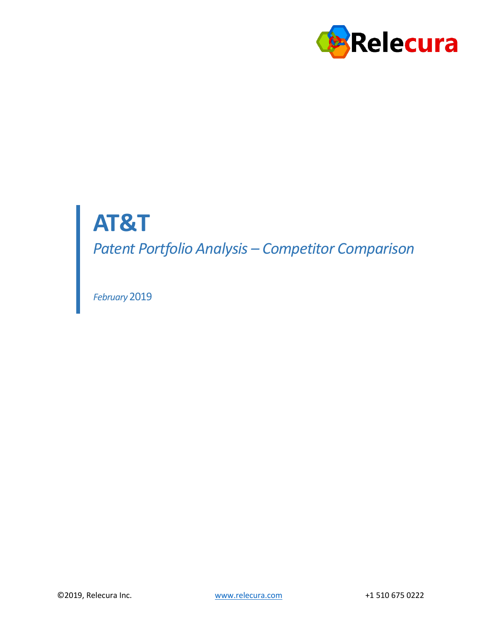

# **AT&T**

*Patent Portfolio Analysis – Competitor Comparison*

*February* 2019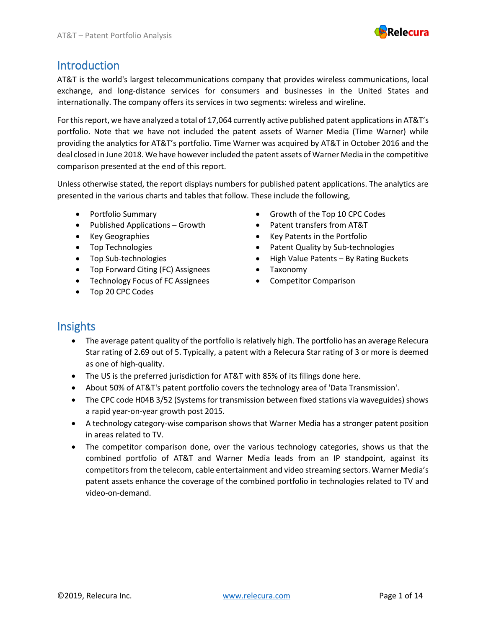

#### Introduction

AT&T is the world's largest telecommunications company that provides wireless communications, local exchange, and long-distance services for consumers and businesses in the United States and internationally. The company offers its services in two segments: wireless and wireline.

For this report, we have analyzed a total of 17,064 currently active published patent applications in AT&T's portfolio. Note that we have not included the patent assets of Warner Media (Time Warner) while providing the analytics for AT&T's portfolio. Time Warner was acquired by AT&T in October 2016 and the deal closed in June 2018. We have however included the patent assets of Warner Media in the competitive comparison presented at the end of this report.

Unless otherwise stated, the report displays numbers for published patent applications. The analytics are presented in the various charts and tables that follow. These include the following,

- 
- Published Applications Growth Patent transfers from AT&T
- 
- 
- 
- Top Forward Citing (FC) Assignees
- Technology Focus of FC Assignees
- Top 20 CPC Codes
- Portfolio Summary Growth of the Top 10 CPC Codes
	-
- Key Geographies Key Patents in the Portfolio
- Top Technologies  **Patent Quality by Sub-technologies** Patent Quality by Sub-technologies
- Top Sub-technologies **•** High Value Patents By Rating Buckets
	- Taxonomy
	- Competitor Comparison

#### **Insights**

- The average patent quality of the portfolio is relatively high. The portfolio has an average Relecura Star rating of 2.69 out of 5. Typically, a patent with a Relecura Star rating of 3 or more is deemed as one of high-quality.
- The US is the preferred jurisdiction for AT&T with 85% of its filings done here.
- About 50% of AT&T's patent portfolio covers the technology area of 'Data Transmission'.
- The CPC code H04B 3/52 (Systems for transmission between fixed stations via waveguides) shows <sup>a</sup> rapid year-on-year growth post 2015.
- A technology category-wise comparison shows that Warner Media has a stronger patent position in areas related to TV.
- The competitor comparison done, over the various technology categories, shows us that the combined portfolio of AT&T and Warner Media leads from an IP standpoint, against its competitors from the telecom, cable entertainment and video streaming sectors. Warner Media's patent assets enhance the coverage of the combined portfolio in technologies related to TV and video-on-demand.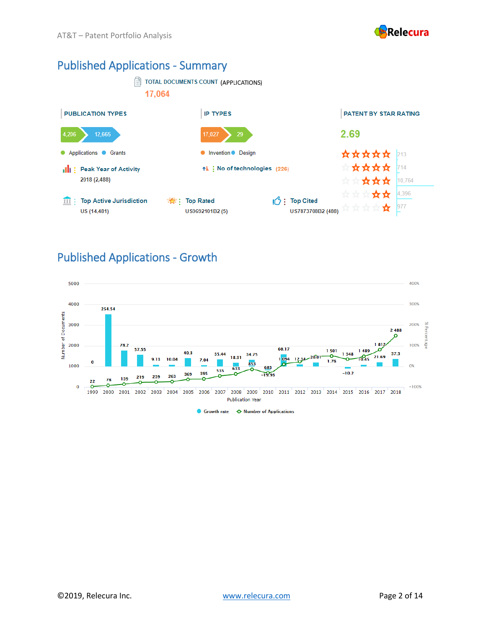

#### Published Applications - Summary



#### Published Applications - Growth

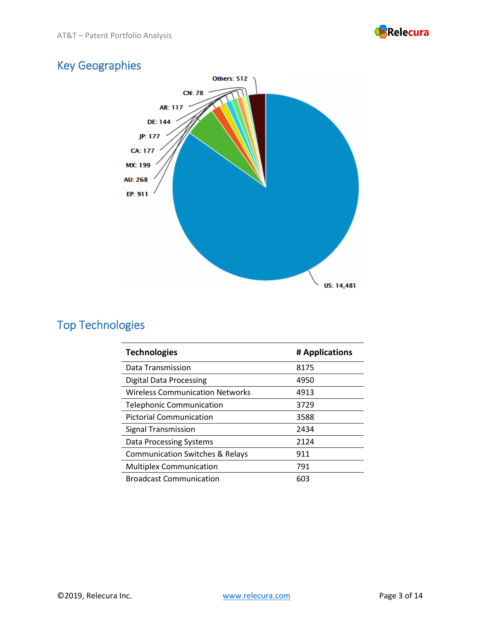

# Key Geographies



# Top Technologies

| <b>Technologies</b>                        | # Applications |
|--------------------------------------------|----------------|
| Data Transmission                          | 8175           |
| <b>Digital Data Processing</b>             | 4950           |
| <b>Wireless Communication Networks</b>     | 4913           |
| <b>Telephonic Communication</b>            | 3729           |
| <b>Pictorial Communication</b>             | 3588           |
| Signal Transmission                        | 2434           |
| Data Processing Systems                    | 2124           |
| <b>Communication Switches &amp; Relays</b> | 911            |
| <b>Multiplex Communication</b>             | 791            |
| <b>Broadcast Communication</b>             | 603            |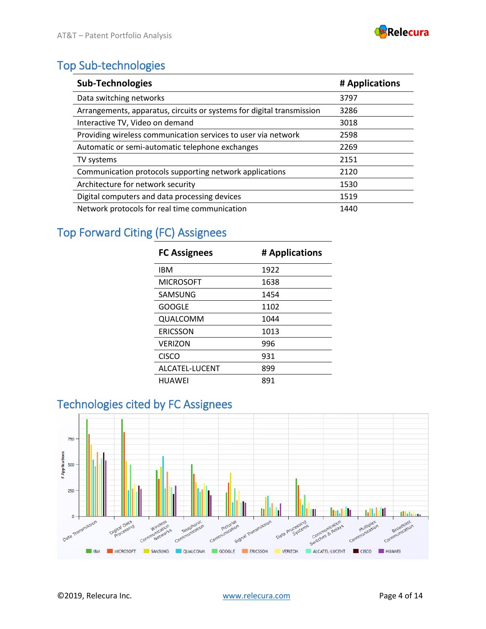

# Top Sub-technologies

| <b>Sub-Technologies</b>                                               | # Applications |
|-----------------------------------------------------------------------|----------------|
| Data switching networks                                               | 3797           |
| Arrangements, apparatus, circuits or systems for digital transmission | 3286           |
| Interactive TV, Video on demand                                       | 3018           |
| Providing wireless communication services to user via network         | 2598           |
| Automatic or semi-automatic telephone exchanges                       | 2269           |
| TV systems                                                            | 2151           |
| Communication protocols supporting network applications               | 2120           |
| Architecture for network security                                     | 1530           |
| Digital computers and data processing devices                         | 1519           |
| Network protocols for real time communication                         | 1440           |

# Top Forward Citing (FC) Assignees

| <b>FC Assignees</b> | # Applications |
|---------------------|----------------|
| IBM                 | 1922           |
| <b>MICROSOFT</b>    | 1638           |
| SAMSUNG             | 1454           |
| <b>GOOGLE</b>       | 1102           |
| QUALCOMM            | 1044           |
| ERICSSON            | 1013           |
| <b>VERIZON</b>      | 996            |
| <b>CISCO</b>        | 931            |
| ALCATEL-LUCENT      | 899            |
| HUAWEI              | 891            |

## Technologies cited by FC Assignees

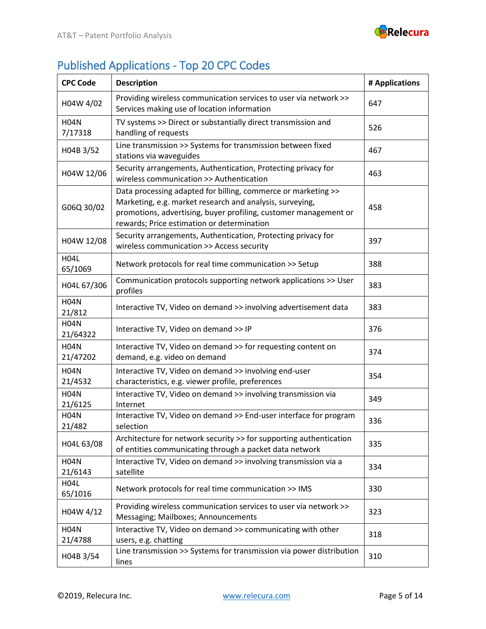

# Published Applications - Top 20 CPC Codes

| <b>CPC Code</b>         | <b>Description</b>                                                                                                                                                                                                                          | # Applications |
|-------------------------|---------------------------------------------------------------------------------------------------------------------------------------------------------------------------------------------------------------------------------------------|----------------|
| H04W 4/02               | Providing wireless communication services to user via network >><br>Services making use of location information                                                                                                                             | 647            |
| <b>H04N</b><br>7/17318  | TV systems >> Direct or substantially direct transmission and<br>handling of requests                                                                                                                                                       | 526            |
| H04B 3/52               | Line transmission >> Systems for transmission between fixed<br>stations via waveguides                                                                                                                                                      | 467            |
| H04W 12/06              | Security arrangements, Authentication, Protecting privacy for<br>wireless communication >> Authentication                                                                                                                                   | 463            |
| G06Q 30/02              | Data processing adapted for billing, commerce or marketing >><br>Marketing, e.g. market research and analysis, surveying,<br>promotions, advertising, buyer profiling, customer management or<br>rewards; Price estimation or determination | 458            |
| H04W 12/08              | Security arrangements, Authentication, Protecting privacy for<br>wireless communication >> Access security                                                                                                                                  | 397            |
| <b>H04L</b><br>65/1069  | Network protocols for real time communication >> Setup                                                                                                                                                                                      | 388            |
| H04L 67/306             | Communication protocols supporting network applications >> User<br>profiles                                                                                                                                                                 | 383            |
| <b>H04N</b><br>21/812   | Interactive TV, Video on demand >> involving advertisement data                                                                                                                                                                             | 383            |
| <b>H04N</b><br>21/64322 | Interactive TV, Video on demand >> IP                                                                                                                                                                                                       | 376            |
| <b>H04N</b><br>21/47202 | Interactive TV, Video on demand >> for requesting content on<br>demand, e.g. video on demand                                                                                                                                                | 374            |
| <b>H04N</b><br>21/4532  | Interactive TV, Video on demand >> involving end-user<br>characteristics, e.g. viewer profile, preferences                                                                                                                                  | 354            |
| <b>H04N</b><br>21/6125  | Interactive TV, Video on demand >> involving transmission via<br>Internet                                                                                                                                                                   | 349            |
| <b>H04N</b><br>21/482   | Interactive TV, Video on demand >> End-user interface for program<br>selection                                                                                                                                                              | 336            |
| H04L 63/08              | Architecture for network security >> for supporting authentication<br>of entities communicating through a packet data network                                                                                                               | 335            |
| <b>H04N</b><br>21/6143  | Interactive TV, Video on demand >> involving transmission via a<br>satellite                                                                                                                                                                | 334            |
| <b>H04L</b><br>65/1016  | Network protocols for real time communication >> IMS                                                                                                                                                                                        | 330            |
| H04W 4/12               | Providing wireless communication services to user via network >><br>Messaging; Mailboxes; Announcements                                                                                                                                     | 323            |
| <b>H04N</b><br>21/4788  | Interactive TV, Video on demand >> communicating with other<br>users, e.g. chatting                                                                                                                                                         | 318            |
| H04B 3/54               | Line transmission >> Systems for transmission via power distribution<br>lines                                                                                                                                                               | 310            |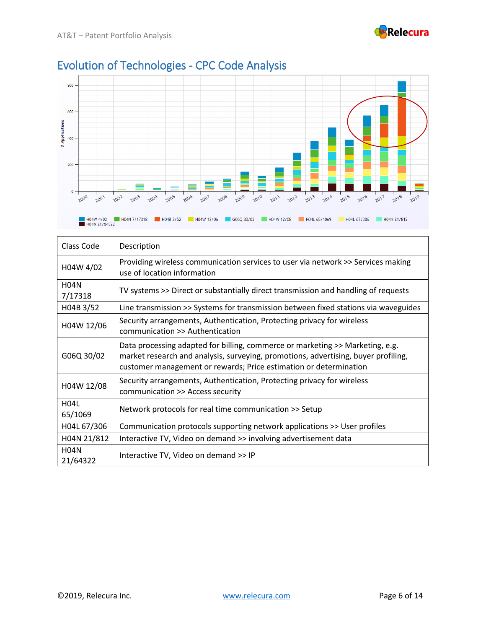



# Evolution of Technologies - CPC Code Analysis

| Class Code              | Description                                                                                                                                                                                                                              |
|-------------------------|------------------------------------------------------------------------------------------------------------------------------------------------------------------------------------------------------------------------------------------|
| H04W 4/02               | Providing wireless communication services to user via network >> Services making<br>use of location information                                                                                                                          |
| <b>H04N</b><br>7/17318  | TV systems >> Direct or substantially direct transmission and handling of requests                                                                                                                                                       |
| H04B 3/52               | Line transmission >> Systems for transmission between fixed stations via waveguides                                                                                                                                                      |
| H04W 12/06              | Security arrangements, Authentication, Protecting privacy for wireless<br>communication >> Authentication                                                                                                                                |
| G06Q 30/02              | Data processing adapted for billing, commerce or marketing >> Marketing, e.g.<br>market research and analysis, surveying, promotions, advertising, buyer profiling,<br>customer management or rewards; Price estimation or determination |
| H04W 12/08              | Security arrangements, Authentication, Protecting privacy for wireless<br>communication >> Access security                                                                                                                               |
| <b>H04L</b><br>65/1069  | Network protocols for real time communication >> Setup                                                                                                                                                                                   |
| H04L 67/306             | Communication protocols supporting network applications >> User profiles                                                                                                                                                                 |
| H04N 21/812             | Interactive TV, Video on demand >> involving advertisement data                                                                                                                                                                          |
| <b>H04N</b><br>21/64322 | Interactive TV, Video on demand >> IP                                                                                                                                                                                                    |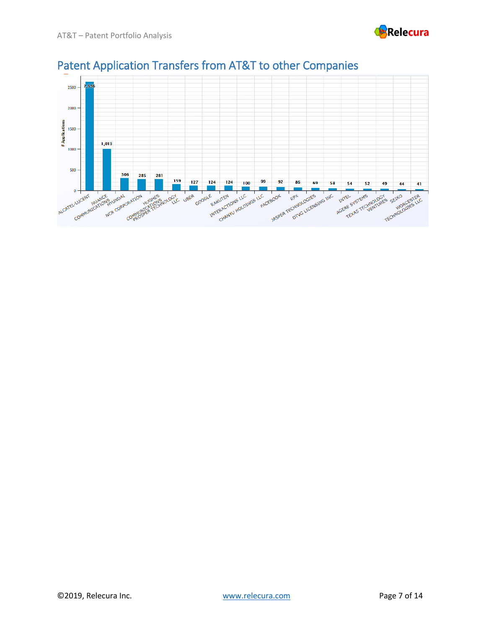



# Patent Application Transfers from AT&T to other Companies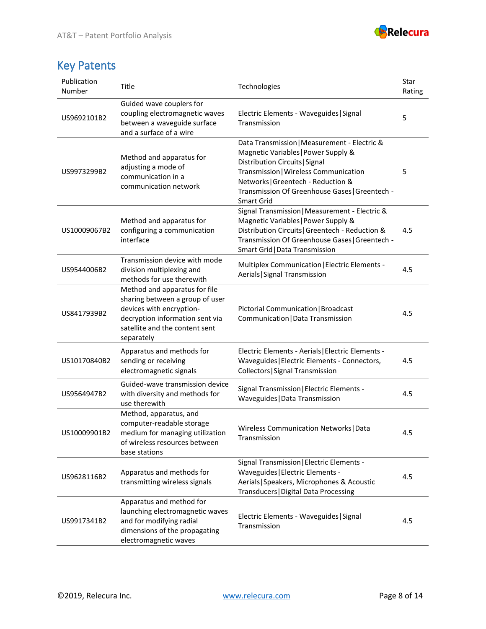

# Key Patents

| Publication<br>Number | Title                                                                                                                                                                           | Technologies                                                                                                                                                                                                                                                                | Star<br>Rating |
|-----------------------|---------------------------------------------------------------------------------------------------------------------------------------------------------------------------------|-----------------------------------------------------------------------------------------------------------------------------------------------------------------------------------------------------------------------------------------------------------------------------|----------------|
| US9692101B2           | Guided wave couplers for<br>coupling electromagnetic waves<br>between a waveguide surface<br>and a surface of a wire                                                            | Electric Elements - Waveguides   Signal<br>Transmission                                                                                                                                                                                                                     | 5              |
| US9973299B2           | Method and apparatus for<br>adjusting a mode of<br>communication in a<br>communication network                                                                                  | Data Transmission   Measurement - Electric &<br>Magnetic Variables   Power Supply &<br>Distribution Circuits   Signal<br>Transmission   Wireless Communication<br>Networks   Greentech - Reduction &<br>Transmission Of Greenhouse Gases   Greentech -<br><b>Smart Grid</b> | 5              |
| US10009067B2          | Method and apparatus for<br>configuring a communication<br>interface                                                                                                            | Signal Transmission   Measurement - Electric &<br>Magnetic Variables   Power Supply &<br>Distribution Circuits   Greentech - Reduction &<br>Transmission Of Greenhouse Gases   Greentech -<br>Smart Grid   Data Transmission                                                | 4.5            |
| US9544006B2           | Transmission device with mode<br>division multiplexing and<br>methods for use therewith                                                                                         | Multiplex Communication   Electric Elements -<br>Aerials   Signal Transmission                                                                                                                                                                                              | 4.5            |
| US8417939B2           | Method and apparatus for file<br>sharing between a group of user<br>devices with encryption-<br>decryption information sent via<br>satellite and the content sent<br>separately | Pictorial Communication   Broadcast<br>Communication   Data Transmission                                                                                                                                                                                                    | 4.5            |
| US10170840B2          | Apparatus and methods for<br>sending or receiving<br>electromagnetic signals                                                                                                    | Electric Elements - Aerials   Electric Elements -<br>Waveguides   Electric Elements - Connectors,<br>Collectors   Signal Transmission                                                                                                                                       | 4.5            |
| US9564947B2           | Guided-wave transmission device<br>with diversity and methods for<br>use therewith                                                                                              | Signal Transmission   Electric Elements -<br>Waveguides   Data Transmission                                                                                                                                                                                                 | 4.5            |
| US10009901B2          | Method, apparatus, and<br>computer-readable storage<br>medium for managing utilization<br>of wireless resources between<br>base stations                                        | Wireless Communication Networks   Data<br>Transmission                                                                                                                                                                                                                      | 4.5            |
| US9628116B2           | Apparatus and methods for<br>transmitting wireless signals                                                                                                                      | Signal Transmission   Electric Elements -<br>Waveguides   Electric Elements -<br>Aerials   Speakers, Microphones & Acoustic<br>Transducers   Digital Data Processing                                                                                                        | 4.5            |
| US9917341B2           | Apparatus and method for<br>launching electromagnetic waves<br>and for modifying radial<br>dimensions of the propagating<br>electromagnetic waves                               | Electric Elements - Waveguides   Signal<br>Transmission                                                                                                                                                                                                                     | 4.5            |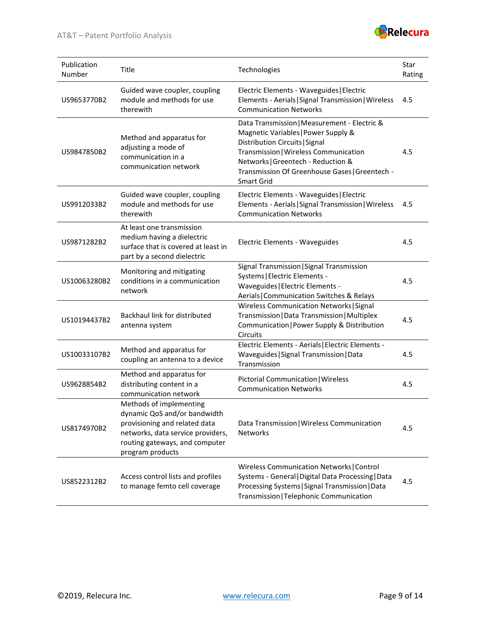#### AT&T – Patent Portfolio Analysis



| Publication<br>Number | Title                                                                                                                                                                               | Technologies                                                                                                                                                                                                                                                                | Star<br>Rating |
|-----------------------|-------------------------------------------------------------------------------------------------------------------------------------------------------------------------------------|-----------------------------------------------------------------------------------------------------------------------------------------------------------------------------------------------------------------------------------------------------------------------------|----------------|
| US9653770B2           | Guided wave coupler, coupling<br>module and methods for use<br>therewith                                                                                                            | Electric Elements - Waveguides   Electric<br>Elements - Aerials   Signal Transmission   Wireless<br><b>Communication Networks</b>                                                                                                                                           | 4.5            |
| US9847850B2           | Method and apparatus for<br>adjusting a mode of<br>communication in a<br>communication network                                                                                      | Data Transmission   Measurement - Electric &<br>Magnetic Variables   Power Supply &<br>Distribution Circuits   Signal<br>Transmission   Wireless Communication<br>Networks   Greentech - Reduction &<br>Transmission Of Greenhouse Gases   Greentech -<br><b>Smart Grid</b> | 4.5            |
| US9912033B2           | Guided wave coupler, coupling<br>module and methods for use<br>therewith                                                                                                            | Electric Elements - Waveguides   Electric<br>Elements - Aerials   Signal Transmission   Wireless<br><b>Communication Networks</b>                                                                                                                                           | 4.5            |
| US9871282B2           | At least one transmission<br>medium having a dielectric<br>surface that is covered at least in<br>part by a second dielectric                                                       | Electric Elements - Waveguides                                                                                                                                                                                                                                              | 4.5            |
| US10063280B2          | Monitoring and mitigating<br>conditions in a communication<br>network                                                                                                               | Signal Transmission   Signal Transmission<br>Systems   Electric Elements -<br>Waveguides   Electric Elements -<br>Aerials   Communication Switches & Relays                                                                                                                 | 4.5            |
| US10194437B2          | Backhaul link for distributed<br>antenna system                                                                                                                                     | Wireless Communication Networks   Signal<br>Transmission   Data Transmission   Multiplex<br>Communication   Power Supply & Distribution<br><b>Circuits</b>                                                                                                                  | 4.5            |
| US10033107B2          | Method and apparatus for<br>coupling an antenna to a device                                                                                                                         | Electric Elements - Aerials   Electric Elements -<br>Waveguides   Signal Transmission   Data<br>Transmission                                                                                                                                                                | 4.5            |
| US9628854B2           | Method and apparatus for<br>distributing content in a<br>communication network                                                                                                      | Pictorial Communication   Wireless<br><b>Communication Networks</b>                                                                                                                                                                                                         | 4.5            |
| US8174970B2           | Methods of implementing<br>dynamic QoS and/or bandwidth<br>provisioning and related data<br>networks, data service providers,<br>routing gateways, and computer<br>program products | Data Transmission   Wireless Communication<br><b>Networks</b>                                                                                                                                                                                                               | 4.5            |
| US8522312B2           | Access control lists and profiles<br>to manage femto cell coverage                                                                                                                  | Wireless Communication Networks   Control<br>Systems - General   Digital Data Processing   Data<br>Processing Systems   Signal Transmission   Data<br>Transmission   Telephonic Communication                                                                               | 4.5            |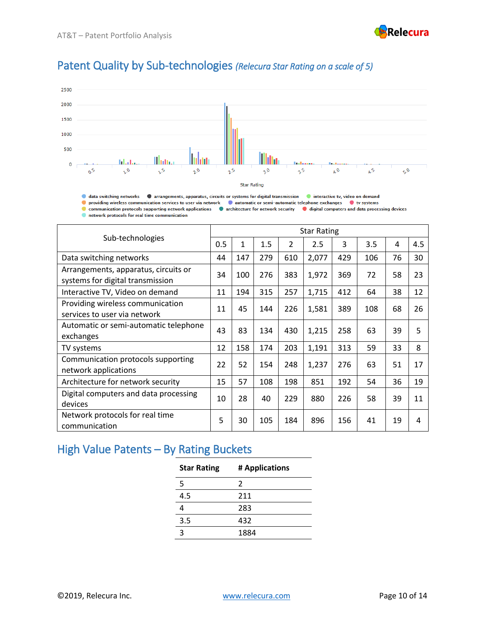

### Patent Quality by Sub-technologies *(Relecura Star Rating on a scale of 5)*



**O** data switching networks **O** arrangements, apparatus, circuits or systems for digital transmission **O** interactive tv, video on demand O providing wireless communication services to user via network C automatic or semi-automatic telephone exchanges C tv systems Communication protocols supporting network applications Carchitecture for network security Caristal computers and data processing devices network protocols for real time communication

| Sub-technologies                                                         |    | <b>Star Rating</b> |     |     |       |     |     |    |     |  |  |  |
|--------------------------------------------------------------------------|----|--------------------|-----|-----|-------|-----|-----|----|-----|--|--|--|
|                                                                          |    | 1                  | 1.5 | 2   | 2.5   | 3   | 3.5 | 4  | 4.5 |  |  |  |
| Data switching networks                                                  | 44 | 147                | 279 | 610 | 2,077 | 429 | 106 | 76 | 30  |  |  |  |
| Arrangements, apparatus, circuits or<br>systems for digital transmission | 34 | 100                | 276 | 383 | 1,972 | 369 | 72  | 58 | 23  |  |  |  |
| Interactive TV, Video on demand                                          | 11 | 194                | 315 | 257 | 1,715 | 412 | 64  | 38 | 12  |  |  |  |
| Providing wireless communication<br>services to user via network         | 11 | 45                 | 144 | 226 | 1,581 | 389 | 108 | 68 | 26  |  |  |  |
| Automatic or semi-automatic telephone<br>exchanges                       | 43 | 83                 | 134 | 430 | 1,215 | 258 | 63  | 39 | 5   |  |  |  |
| TV systems                                                               |    | 158                | 174 | 203 | 1,191 | 313 | 59  | 33 | 8   |  |  |  |
| Communication protocols supporting<br>network applications               | 22 | 52                 | 154 | 248 | 1,237 | 276 | 63  | 51 | 17  |  |  |  |
| Architecture for network security                                        |    | 57                 | 108 | 198 | 851   | 192 | 54  | 36 | 19  |  |  |  |
| Digital computers and data processing<br>devices                         |    | 28                 | 40  | 229 | 880   | 226 | 58  | 39 | 11  |  |  |  |
| Network protocols for real time<br>communication                         | 5  | 30                 | 105 | 184 | 896   | 156 | 41  | 19 | 4   |  |  |  |

#### High Value Patents – By Rating Buckets

| # Applications |
|----------------|
| $\mathcal{P}$  |
| 211            |
| 283            |
| 432            |
| 1884           |
|                |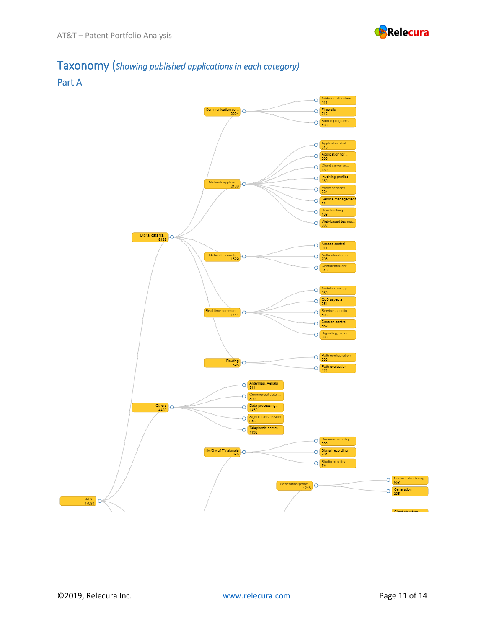

# Taxonomy (*Showing published applications in each category)*



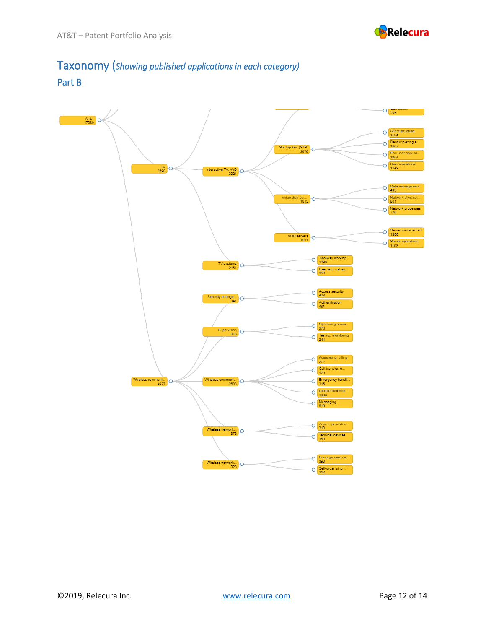

#### Taxonomy (*Showing published applications in each category)*  Part B

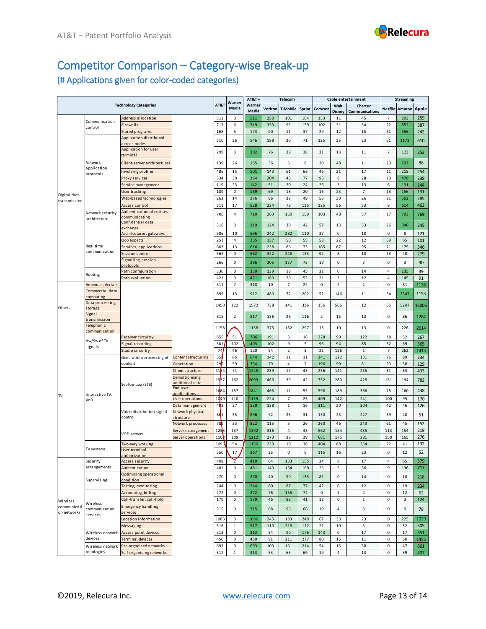

## Competitor Comparison – Category-wise Break-up

#### (# Applications given for color-coded categories)

|                            |                                    |                                                                                        | AT&T                           | Warneı             | AT&T+          |                 | Telecom    |                |                |                | Cable entertainment |                           | <b>Streaming</b>    |           |            |
|----------------------------|------------------------------------|----------------------------------------------------------------------------------------|--------------------------------|--------------------|----------------|-----------------|------------|----------------|----------------|----------------|---------------------|---------------------------|---------------------|-----------|------------|
|                            |                                    | <b>Technology Categories</b>                                                           |                                |                    | Media          | Warner<br>Media | Verizon    | T-Mobile       | Sprint         | Comcast        | Walt<br>Disney      | Charter<br>Communications | Netflix             | Amazon    | Apple      |
|                            |                                    | Address allocation                                                                     |                                | 511                | $\mathsf 0$    | 511             | 250        | 101            | 104            | 133            | 11                  | 45                        | $\overline{7}$      | 293       | 259        |
|                            | Communication<br>control           | <b>Firewalls</b>                                                                       |                                | 713                | 6              | 719             | 353        | 95             | 139            | 102            | 31                  | 54                        | 22                  | 852       | 387        |
|                            |                                    | Stored programs                                                                        |                                | 168                | 5              | 173             | 90         | 11             | 37             | 29             | 12                  | 15                        | 31                  | 556       | 242        |
|                            |                                    | Application distributed                                                                |                                | 510                | 36             | 546             | 198        | 30             | 71             | 125            | 25                  | 23                        | 91                  | 1173      | 610        |
|                            |                                    | across nodes                                                                           |                                |                    |                |                 |            |                |                |                |                     |                           |                     |           |            |
|                            |                                    | Application for user<br>terminal                                                       |                                | 299                | 3              | 302             | 76         | 39             | 38             | 31             | 13                  | $11\,$                    | $\overline{7}$      | 123       | 252        |
|                            | Network                            | Client-server architectures                                                            |                                | 139                | 26             | 165             | 36         | 6              | 8              | 20             | 48                  | $11\,$                    | 20                  | 297       | 88         |
|                            | application<br>protocols           | Involving profiles                                                                     |                                | 486                | 15             | 501             | 143        | 61             | 66             | 46             | 21                  | 17                        | 11                  | 218       | 254        |
|                            |                                    | Proxy services                                                                         |                                | 334                | 30             | 364             | 204        | 48             | 77             | 95             | 8                   | 28                        | 10                  | 470       | 238        |
|                            |                                    | Service management                                                                     |                                | 119                | 23             | 142             | 51         | 20             | 24             | 26             | 3                   | 13                        | 6                   | 131       | 144        |
| Digital data               |                                    | User tracking                                                                          |                                | 189                | $\mathsf 0$    | 189             | 69         | 18             | 20             | 16             | 23                  | $\overline{7}$            | 13                  | 156       | 131        |
| transmission               |                                    | Web-based technologies                                                                 |                                | 262                | 14             | 276             | 96         | 39             | 49             | 53             | 30                  | 26                        | 21                  | 502       | 285        |
|                            |                                    | Access control                                                                         |                                | 511                | 17             | 528             | 234        | 79             | 125            | 125            | 56                  | 53                        | $\,9$               | 614       | 463        |
|                            | Network security                   | Authentication of entities<br>communicating                                            |                                | 706                | 4              | 710             | 263        | 160            | 159            | 103            | 48                  | 57                        | 17                  | 793       | 769        |
|                            | architecture                       | Confidential data                                                                      |                                | 316                | 3              | 319             | 124        | 30             | 42             | 57             | 13                  | 53                        | 26                  | 340       | 245        |
|                            |                                    | exchange                                                                               |                                |                    |                |                 |            |                |                |                |                     |                           |                     |           |            |
|                            |                                    | Architectures, gateways                                                                |                                | 586                | 10             | 596             | 242        | 282            | 110            | 37             | $\mathsf 0$         | 10                        | $\mathsf 0$         | 8         | 121        |
|                            | Real time                          | QoS aspects<br>Services, applications                                                  |                                | 251<br>603         | 4<br>13        | 255<br>616      | 137<br>238 | 50<br>86       | 55<br>73       | 58<br>185      | 22<br>67            | 12<br>95                  | 59<br>71            | 65<br>175 | 101<br>346 |
|                            | communication                      | Session control                                                                        |                                | 562                | $\mathsf 0$    | 562             | 322        | 248            | 133            | 92             | 8                   | 10                        | 13                  | 40        | 279        |
|                            |                                    | Signalling, session                                                                    |                                |                    |                |                 |            |                |                |                |                     |                           |                     |           |            |
|                            |                                    | protocols                                                                              |                                | 266                | $\mathbf 0$    | 266             | 205        | 157            | 75             | 19             | $\mathsf{O}$        | 3                         | $\mathbf 0$         | 3         | 90         |
|                            | Routing                            | Path configuration                                                                     |                                | 330                | 0              | 330             | 139        | 18             | 45             | 22             | 0                   | 14                        | $\overline{4}$      | 235       | 39         |
|                            |                                    | Path evaluation                                                                        |                                | 421                | $\mathsf{O}$   | 421             | 160        | 26             | 55             | 21             | $\mathbf 2$         | 12                        | $\sqrt{4}$          | 145       | 91         |
|                            | Antennas, Aerials                  |                                                                                        |                                | 311                | $\overline{7}$ | 318             | 10         | $\overline{7}$ | 22             | 0              | $\mathbf 2$         | $\mathbf 2$               | $\mathsf 0$         | 81        | 1138       |
|                            | Commercial data<br>computing       |                                                                                        |                                | 899                | 13             | 912             | 480        | 72             | 202            | 52             | 146                 | 11                        | 34                  | 2547      | 1153       |
|                            | Data processing,                   |                                                                                        |                                |                    |                |                 |            |                |                |                |                     |                           |                     |           |            |
| Others                     | storage                            |                                                                                        |                                | 1450               | 122            | 1572            | 738        | 141            | 336            | 136            | 566                 | 12                        | 55                  | 5247      | 16006      |
|                            | Signal                             |                                                                                        |                                | 815                | $\overline{2}$ | 817             | 136        | 26             | 116            | $\overline{2}$ | 15                  | 13                        | $\mathsf 0$         | 86        | 1284       |
|                            | transmission                       |                                                                                        |                                |                    |                |                 |            |                |                |                |                     |                           |                     |           |            |
|                            | <b>Telephonic</b><br>communication |                                                                                        |                                | 1158               |                | 1158            | 375        | 132            | 297            | 13             | 10                  | 13                        | $\mathsf 0$         | 226       | 2614       |
|                            |                                    | Receiver circuitry                                                                     |                                | 655                | 51             | 706             | 191        | 3              | 16             | 228            | 99                  | 122                       | 18                  | 52        | 267        |
|                            | Hw/Sw of TV<br>signals             | Signal recording                                                                       |                                | 301                | 102            | 403             | 102        | 9              | 5              | 96             | 94                  | 85                        | 32                  | 69        | 365        |
|                            |                                    | Studio circuitry                                                                       |                                | 74                 | 46             | 120             | 54         | $\mathbf 2$    | $\mathsf 3$    | 21             | 126                 | $\,$ 1                    | $\overline{7}$      | 262       | 1413       |
|                            |                                    | Generation/processing of                                                               | Content structuring            | 55                 | 86             | 644             | 142        | 11             | 11             | 341            | 122                 | 131                       | 76                  | 89        | 234        |
|                            |                                    | content                                                                                | Generation                     | 295                | 59             | 354             | 79         | $\sqrt{4}$     | $\overline{7}$ | 196            | 99                  | 81                        | 23                  | 58        | 129        |
|                            |                                    | Client structure<br>Demultiplexing<br>additional data<br>Set-top-box (STB)<br>End-user | $11\overline{b}4$              | 71                 | 1225           | 239             | 17         | 43             | 256            | 141            | 235                 | 31                        | 63                  | 433       |            |
|                            |                                    |                                                                                        |                                | 1937               | 162            | 2099            | 466        | 39             | 42             | 752            | 280                 | 428                       | 151                 | 194       | 782        |
|                            | Interactive TV,                    |                                                                                        | applications                   | 1684               | 157            | 1841            | 465        | 11             | 55             | 598            | 189                 | 366                       | 75                  | 160       | 438        |
| TV                         | VoD                                |                                                                                        | User operations                | $10$ <sup>49</sup> | 110            | 1159            | 224        | $\overline{7}$ | 25             | 409            | 142                 | 241                       | 100                 | 95        | 170        |
|                            |                                    |                                                                                        | Data management                | 493                | 37             | 530             | 138        | $\mathbf 1$    | 16             | 311            | 20                  | 204                       | 42                  | 46        | 126        |
|                            |                                    | Video distribution signal                                                              | Network physical               | 861                | 35             | 896             | 72         | 23             | 31             | 130            | 23                  | 227                       | 39                  | 20        | 51         |
|                            |                                    | control                                                                                | structure<br>Network processes | 78P                | 33             | 822             | 115        | 5              | 26             | 260            | 46                  | 243                       | 61                  | 45        | 152        |
|                            |                                    |                                                                                        | Server management              | 1255               | 137            | 1392            | 316        | 4              | 43             | 562            | 154                 | 435                       | 113                 | 154       | 219        |
|                            |                                    | <b>VOD</b> servers                                                                     | Server operations              | 110 <sub>b</sub>   | 109            | 1212            | 273        | 39             | 39             | 681            | 175                 | 381                       | 150                 | 165       | 276        |
|                            |                                    | Two-way working                                                                        |                                | 1096               | 54             | 1150            | 239        | 10             | 38             | 404            | 88                  | 354                       | 22                  | 41        | 132        |
|                            | TV systems                         | User terminal                                                                          |                                | 350                | 17             | 367             | 25         | 0              | 6              | 115            | 16                  | 23                        | $\mathsf 0$         | 12        | 52         |
|                            |                                    | authorization                                                                          |                                |                    | Z              |                 |            |                |                |                |                     |                           |                     |           |            |
|                            | Security<br>arrangements           | Access security<br>Authentication                                                      |                                | 408<br>481         | $\mathsf 0$    | 410<br>481      | 64<br>140  | 133<br>154     | 155<br>160     | 24<br>26       | 8                   | 17<br>36                  | $\overline{a}$<br>9 | 65<br>136 | 379<br>717 |
|                            |                                    | Optimising operational                                                                 |                                |                    |                |                 |            |                |                |                | 5                   |                           |                     |           |            |
|                            | Supervising                        | condition                                                                              |                                | 270                | $\mathbf 0$    | 270             | 40         | 90             | 133            | 81             | $\mathsf{O}$        | 14                        | $\pmb{0}$           | 10        | 218        |
|                            |                                    | Testing, monitoring                                                                    |                                | 244                | $\mathsf{O}$   | 244             | 60         | 87             | 77             | 42             | $\mathsf{O}$        | 12                        | $\mathbf 0$         | 19        | 234        |
|                            |                                    | Accounting, billing                                                                    |                                | 272                | $\mathsf{O}$   | 272             | 76         | 155            | 74             | 0              | $\mathbf{1}$        | 4                         | 0                   | 12        | 62         |
| Wireless                   | Wireless                           | Call-transfer, call-hold                                                               |                                | 179                | $\mathbf 0$    | 179             | 46         | 88             | $41\,$         | 12             | $\mathbf 0$         | $\mathbf 1$               | $\pmb{0}$           | 3         | 124        |
| communicati<br>on networks | communication                      | <b>Emergency handling</b><br>services                                                  |                                | 315                | 0              | 315             | 68         | 96             | 66             | 19             | 4                   | 3                         | 0                   | 9         | 78         |
|                            | services                           | Location information                                                                   |                                | 1083               | 3              | 1086            | 245        | 183            | 249            | 67             | 33                  | 23                        | $\mathsf 0$         | 225       | 1029       |
|                            |                                    | Messaging                                                                              |                                | 516                | $\mathbf 1$    | 517             | 110        | 218            | 122            | 22             | 10                  | $\mathsf S$               | $\pmb{0}$           | 32        | 305        |
|                            | Wireless network                   | Access point devices                                                                   |                                | 313                | $\mathsf{O}$   | 313             | 34         | 90             | 176            | 143            | $\mathsf{O}$        | 17                        | 0                   | 17        | 351        |
|                            |                                    |                                                                                        |                                |                    |                |                 |            |                |                |                |                     | $11\,$                    | 0                   | 50        | 1455       |
|                            | devices                            | Terminal devices                                                                       |                                | 450                | $\mathsf{O}$   | 450             | 91         | 211            | 277            | 80             | 15                  |                           |                     |           |            |
|                            | Wireless network<br>topologies     | Pre-organised networks                                                                 |                                | 693                | $\pmb{0}$      | 693             | 103        | 161            | 214            | 54             | 15                  | 58                        | $\pmb{0}$           | 47        | 861        |